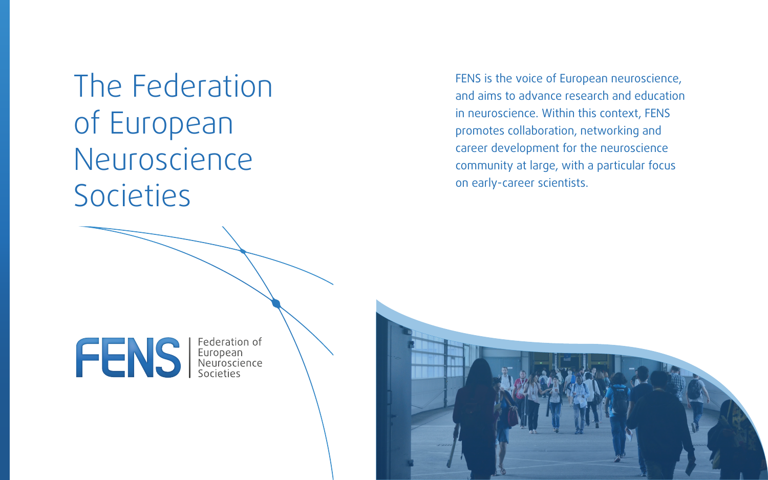The Federation of European Neuroscience Societies

FENS is the voice of European neuroscience, and aims to advance research and education in neuroscience. Within this context, FENS promotes collaboration, networking and career development for the neuroscience community at large, with a particular focus on early-career scientists.

**ENS** Federation of<br>Reuropean<br>Societies